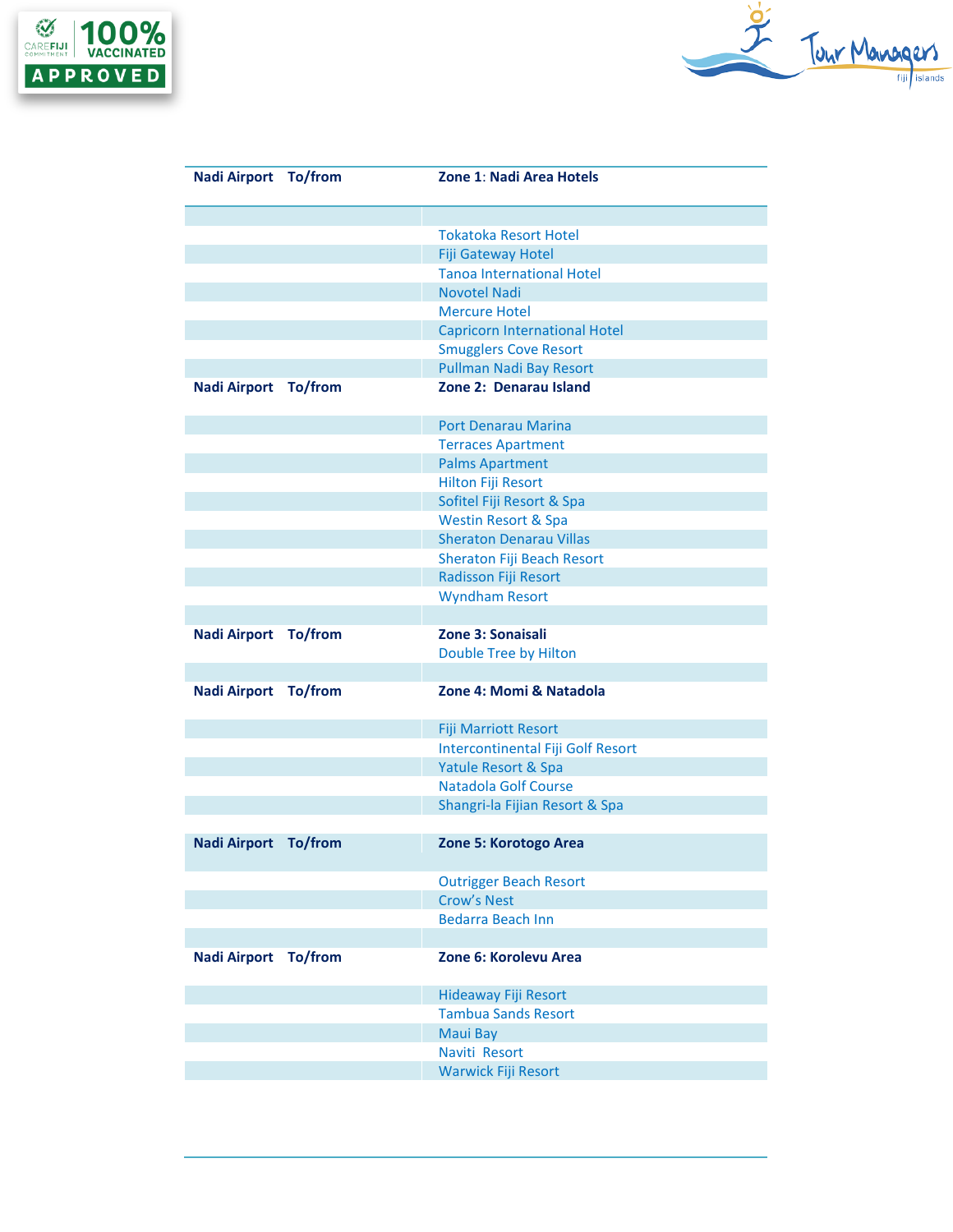



| <b>Nadi Airport To/from</b> |         | <b>Zone 1: Nadi Area Hotels</b>                |
|-----------------------------|---------|------------------------------------------------|
|                             |         |                                                |
|                             |         | <b>Tokatoka Resort Hotel</b>                   |
|                             |         | <b>Fiji Gateway Hotel</b>                      |
|                             |         | <b>Tanoa International Hotel</b>               |
|                             |         | <b>Novotel Nadi</b>                            |
|                             |         | <b>Mercure Hotel</b>                           |
|                             |         | <b>Capricorn International Hotel</b>           |
|                             |         | <b>Smugglers Cove Resort</b>                   |
|                             |         | Pullman Nadi Bay Resort                        |
| <b>Nadi Airport To/from</b> |         | Zone 2: Denarau Island                         |
|                             |         | <b>Port Denarau Marina</b>                     |
|                             |         | <b>Terraces Apartment</b>                      |
|                             |         | <b>Palms Apartment</b>                         |
|                             |         | Hilton Fiji Resort                             |
|                             |         | Sofitel Fiji Resort & Spa                      |
|                             |         | <b>Westin Resort &amp; Spa</b>                 |
|                             |         | <b>Sheraton Denarau Villas</b>                 |
|                             |         | Sheraton Fiji Beach Resort                     |
|                             |         | Radisson Fiji Resort                           |
|                             |         | <b>Wyndham Resort</b>                          |
|                             |         |                                                |
| Nadi Airport                | To/from | Zone 3: Sonaisali                              |
|                             |         | Double Tree by Hilton                          |
|                             |         |                                                |
| <b>Nadi Airport To/from</b> |         | Zone 4: Momi & Natadola                        |
|                             |         | <b>Fiji Marriott Resort</b>                    |
|                             |         | Intercontinental Fiji Golf Resort              |
|                             |         | <b>Yatule Resort &amp; Spa</b>                 |
|                             |         | <b>Natadola Golf Course</b>                    |
|                             |         | Shangri-la Fijian Resort & Spa                 |
| <b>Nadi Airport To/from</b> |         | Zone 5: Korotogo Area                          |
|                             |         |                                                |
|                             |         | <b>Outrigger Beach Resort</b>                  |
|                             |         | <b>Crow's Nest</b><br><b>Bedarra Beach Inn</b> |
|                             |         |                                                |
| <b>Nadi Airport To/from</b> |         | Zone 6: Korolevu Area                          |
|                             |         | <b>Hideaway Fiji Resort</b>                    |
|                             |         | <b>Tambua Sands Resort</b>                     |
|                             |         | <b>Maui Bay</b>                                |
|                             |         | Naviti Resort                                  |
|                             |         | <b>Warwick Fiji Resort</b>                     |